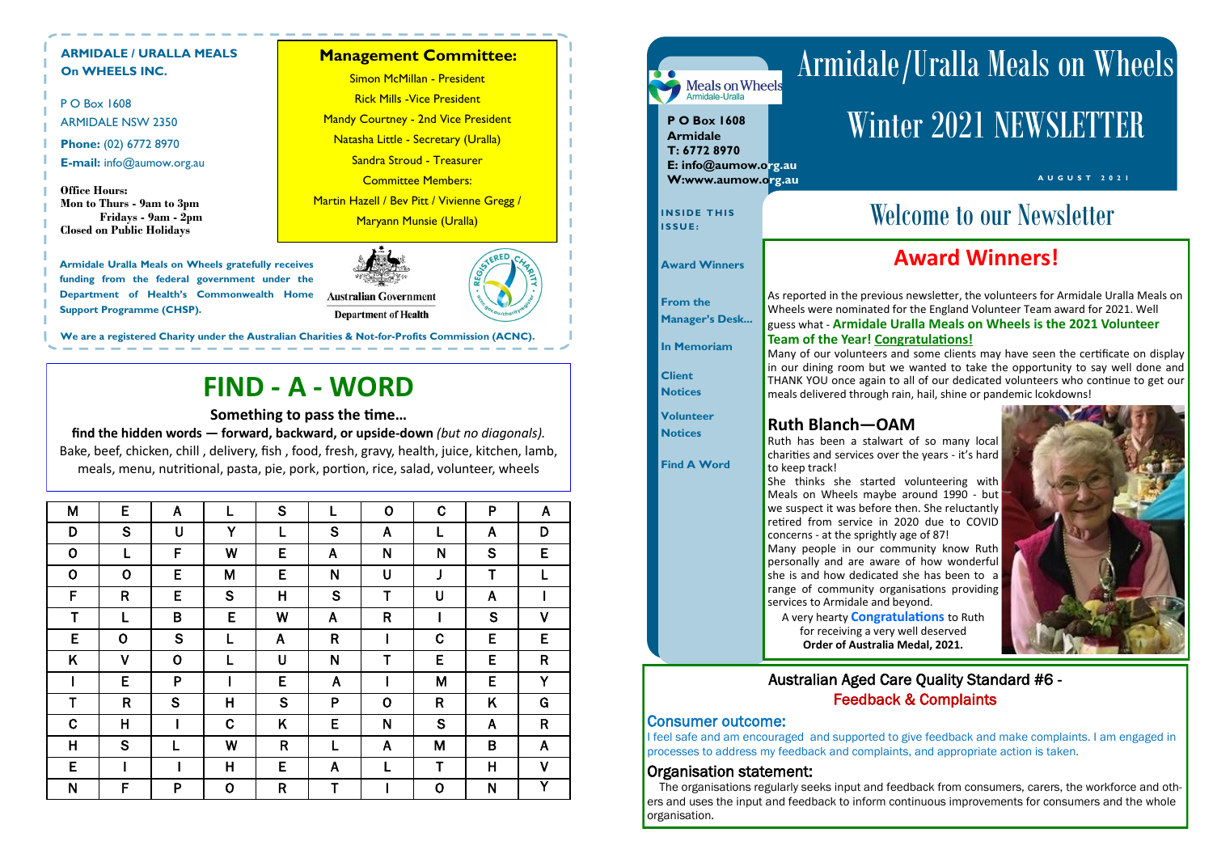P O Box 1608 ARMIDALE NSW 2350 **Phone:** (02) 6772 8970 **E-mail:** info@aumow.org.au

**Office Hours: Mon to Thurs - 9am to 3pm Fridays - 9am - 2pm Closed on Public Holidays**

## **ARMIDALE / URALLA MEALS On WHEELS INC.**

**Armidale Uralla Meals on Wheels gratefully receives funding from the federal government under the Department of Health's Commonwealth Home Support Programme (CHSP).**



# **FIND - A - WORD**

## **Something to pass the time…**

**find the hidden words — forward, backward, or upside-down** *(but no diagonals).* Bake, beef, chicken, chill , delivery, fish , food, fresh, gravy, health, juice, kitchen, lamb, meals, menu, nutritional, pasta, pie, pork, portion, rice, salad, volunteer, wheels

**Management Committee:** 

Simon McMillan - President Rick Mills -Vice President **Mandy Courtney - 2nd Vice President** Natasha Little - Secretary (Uralla) Sandra Stroud - Treasurer Committee Members: Martin Hazell / Bev Pitt / Vivienne Gregg / Maryann Munsie (Uralla)

**We are a registered Charity under the Australian Charities & Not-for-Profits Commission (ACNC).** 

| M           | E                       | $\mathsf{A}$ | L           | S                       |              | $\mathbf 0$    | C            | P            | $\mathsf{A}$ |
|-------------|-------------------------|--------------|-------------|-------------------------|--------------|----------------|--------------|--------------|--------------|
| D           | S                       | U            | Y           | L                       | S            | A              | L            | A            | D            |
| $\mathbf 0$ | L                       | F            | W           | E                       | A            | N              | N            | S            | E            |
| $\mathbf O$ | $\mathbf 0$             | E            | M           | E                       | N            | U              | J            | $\mathsf T$  | L            |
| F           | $\mathsf{R}$            | E            | S           | $\overline{\mathsf{H}}$ | S            | T              | U            | $\mathsf{A}$ |              |
| T           | L                       | B            | E           | W                       | $\mathsf{A}$ | R              |              | S            | $\mathsf{V}$ |
| E           | $\mathbf 0$             | S            | L           | $\mathsf{A}$            | $\mathsf{R}$ |                | C            | E            | E            |
| K           | $\mathsf{V}$            | $\mathbf 0$  | L           | U                       | N            | T              | E            | E            | $\mathsf{R}$ |
| I           | E                       | P            |             | E                       | A            |                | M            | E            | Y            |
| T           | $\mathsf{R}$            | S            | H           | S                       | P            | $\overline{O}$ | $\mathsf{R}$ | K            | G            |
| $\mathbf C$ | $\overline{\mathsf{H}}$ |              | $\mathbf C$ | K                       | E            | N              | S            | $\mathsf{A}$ | $\mathsf{R}$ |
| Η           | S                       |              | W           | $\mathsf{R}$            | L            | A              | M            | $\sf B$      | A            |
| E           |                         |              | H           | E                       | A            | L              | $\mathsf T$  | $\mathsf{H}$ | $\mathsf{V}$ |
| N           | F                       | P            | $\mathbf 0$ | $\mathsf{R}$            | T            |                | $\mathbf 0$  | N            | Y            |

### Armidale/Uralla Meals on Wheels Meals on Wheels<br>Armidale-Uralla Winter 2021 NEWSLETTER **P O Box 1608 Armidale T: 6772 8970 E: info@aumow.org.au A U G U S T 2 0 2 1 W:www.aumow.org.au** INSIDE THIS **IN SECOLUTE:** Welcome to our Newsletter **I S S U E : Award Winners! Award Winners** As reported in the previous newsletter, the volunteers for Armidale Uralla Meals on **From the**  Wheels were nominated for the England Volunteer Team award for 2021. Well **Manager's Desk...** guess what - **Armidale Uralla Meals on Wheels is the 2021 Volunteer Team of the Year! Congratulations! In Memoriam** Many of our volunteers and some clients may have seen the certificate on display in our dining room but we wanted to take the opportunity to say well done and **Client**  THANK YOU once again to all of our dedicated volunteers who continue to get our **Notices**  meals delivered through rain, hail, shine or pandemic lcokdowns! **Volunteer Ruth Blanch—OAM Notices**  Ruth has been a stalwart of so many local charities and services over the years - it's hard **Find A Word** to keep track! She thinks she started volunteering with Meals on Wheels maybe around 1990 - but we suspect it was before then. She reluctantly retired from service in 2020 due to COVID concerns - at the sprightly age of 87! Many people in our community know Ruth personally and are aware of how wonderful she is and how dedicated she has been to a range of community organisations providing services to Armidale and beyond. A very hearty **Congratulations** to Ruth for receiving a very well deserved **Order of Australia Medal, 2021.**Australian Aged Care Quality Standard #6 - Feedback & Complaints Consumer outcome: I feel safe and am encouraged and supported to give feedback and make complaints. I am engaged in processes to address my feedback and complaints, and appropriate action is taken. Organisation statement: The organisations regularly seeks input and feedback from consumers, carers, the workforce and oth-

ers and uses the input and feedback to inform continuous improvements for consumers and the whole

organisation.